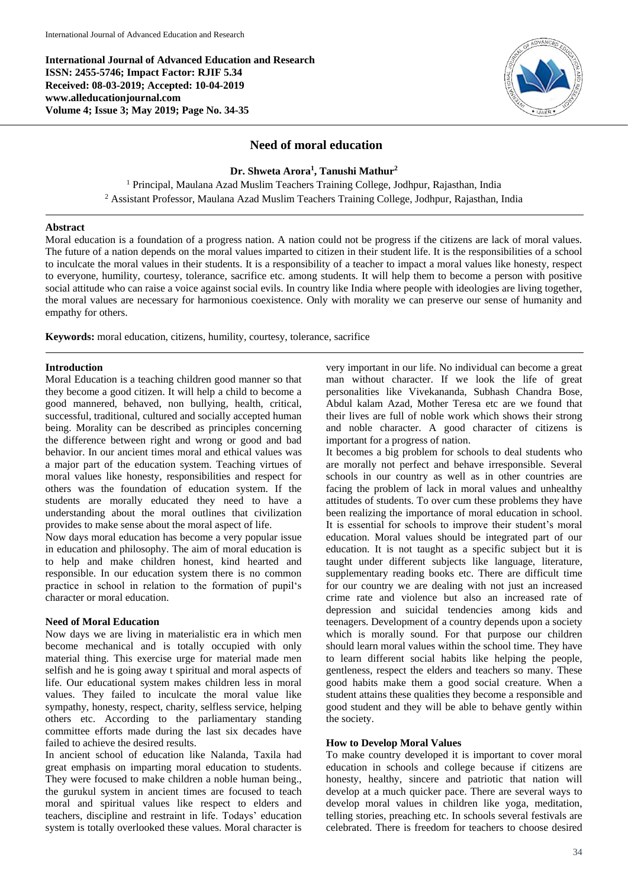**International Journal of Advanced Education and Research ISSN: 2455-5746; Impact Factor: RJIF 5.34 Received: 08-03-2019; Accepted: 10-04-2019 www.alleducationjournal.com Volume 4; Issue 3; May 2019; Page No. 34-35**



# **Need of moral education**

**Dr. Shweta Arora<sup>1</sup> , Tanushi Mathur<sup>2</sup>**

<sup>1</sup> Principal, Maulana Azad Muslim Teachers Training College, Jodhpur, Rajasthan, India <sup>2</sup> Assistant Professor, Maulana Azad Muslim Teachers Training College, Jodhpur, Rajasthan, India

## **Abstract**

Moral education is a foundation of a progress nation. A nation could not be progress if the citizens are lack of moral values. The future of a nation depends on the moral values imparted to citizen in their student life. It is the responsibilities of a school to inculcate the moral values in their students. It is a responsibility of a teacher to impact a moral values like honesty, respect to everyone, humility, courtesy, tolerance, sacrifice etc. among students. It will help them to become a person with positive social attitude who can raise a voice against social evils. In country like India where people with ideologies are living together, the moral values are necessary for harmonious coexistence. Only with morality we can preserve our sense of humanity and empathy for others.

**Keywords:** moral education, citizens, humility, courtesy, tolerance, sacrifice

## **Introduction**

Moral Education is a teaching children good manner so that they become a good citizen. It will help a child to become a good mannered, behaved, non bullying, health, critical, successful, traditional, cultured and socially accepted human being. Morality can be described as principles concerning the difference between right and wrong or good and bad behavior. In our ancient times moral and ethical values was a major part of the education system. Teaching virtues of moral values like honesty, responsibilities and respect for others was the foundation of education system. If the students are morally educated they need to have a understanding about the moral outlines that civilization provides to make sense about the moral aspect of life.

Now days moral education has become a very popular issue in education and philosophy. The aim of moral education is to help and make children honest, kind hearted and responsible. In our education system there is no common practice in school in relation to the formation of pupil's character or moral education.

### **Need of Moral Education**

Now days we are living in materialistic era in which men become mechanical and is totally occupied with only material thing. This exercise urge for material made men selfish and he is going away t spiritual and moral aspects of life. Our educational system makes children less in moral values. They failed to inculcate the moral value like sympathy, honesty, respect, charity, selfless service, helping others etc. According to the parliamentary standing committee efforts made during the last six decades have failed to achieve the desired results.

In ancient school of education like Nalanda, Taxila had great emphasis on imparting moral education to students. They were focused to make children a noble human being., the gurukul system in ancient times are focused to teach moral and spiritual values like respect to elders and teachers, discipline and restraint in life. Todays' education system is totally overlooked these values. Moral character is

very important in our life. No individual can become a great man without character. If we look the life of great personalities like Vivekananda, Subhash Chandra Bose, Abdul kalam Azad, Mother Teresa etc are we found that their lives are full of noble work which shows their strong and noble character. A good character of citizens is important for a progress of nation.

It becomes a big problem for schools to deal students who are morally not perfect and behave irresponsible. Several schools in our country as well as in other countries are facing the problem of lack in moral values and unhealthy attitudes of students. To over cum these problems they have been realizing the importance of moral education in school. It is essential for schools to improve their student's moral education. Moral values should be integrated part of our education. It is not taught as a specific subject but it is taught under different subjects like language, literature, supplementary reading books etc. There are difficult time for our country we are dealing with not just an increased crime rate and violence but also an increased rate of depression and suicidal tendencies among kids and teenagers. Development of a country depends upon a society which is morally sound. For that purpose our children should learn moral values within the school time. They have to learn different social habits like helping the people, gentleness, respect the elders and teachers so many. These good habits make them a good social creature. When a student attains these qualities they become a responsible and good student and they will be able to behave gently within the society.

### **How to Develop Moral Values**

To make country developed it is important to cover moral education in schools and college because if citizens are honesty, healthy, sincere and patriotic that nation will develop at a much quicker pace. There are several ways to develop moral values in children like yoga, meditation, telling stories, preaching etc. In schools several festivals are celebrated. There is freedom for teachers to choose desired